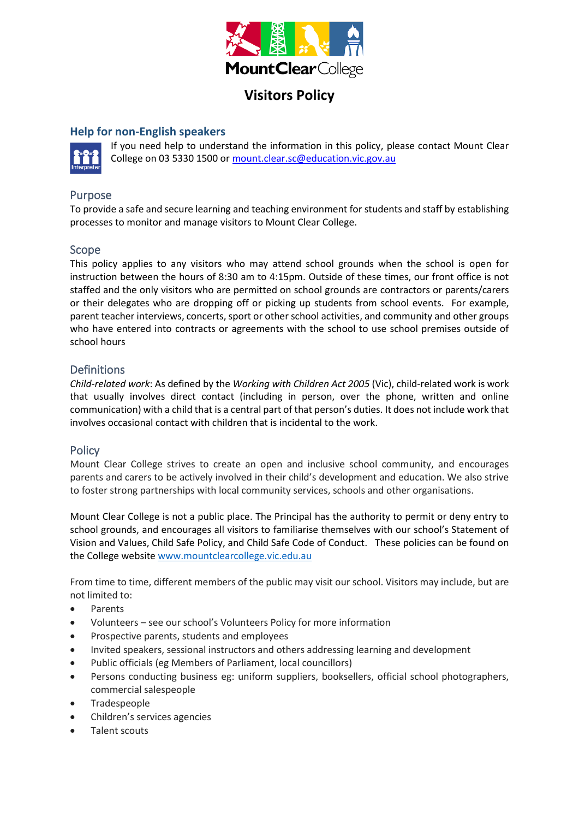

# **Visitors Policy**

## **Help for non-English speakers**



If you need help to understand the information in this policy, please contact Mount Clear College on 03 5330 1500 o[r mount.clear.sc@education.vic.gov.au](mailto:mount.clear.sc@education.vic.gov.au)

## Purpose

To provide a safe and secure learning and teaching environment for students and staff by establishing processes to monitor and manage visitors to Mount Clear College.

#### Scope

This policy applies to any visitors who may attend school grounds when the school is open for instruction between the hours of 8:30 am to 4:15pm. Outside of these times, our front office is not staffed and the only visitors who are permitted on school grounds are contractors or parents/carers or their delegates who are dropping off or picking up students from school events. For example, parent teacher interviews, concerts, sport or other school activities, and community and other groups who have entered into contracts or agreements with the school to use school premises outside of school hours

### **Definitions**

*Child-related work*: As defined by the *Working with Children Act 2005* (Vic), child-related work is work that usually involves direct contact (including in person, over the phone, written and online communication) with a child that is a central part of that person's duties. It does not include work that involves occasional contact with children that is incidental to the work.

#### **Policy**

Mount Clear College strives to create an open and inclusive school community, and encourages parents and carers to be actively involved in their child's development and education. We also strive to foster strong partnerships with local community services, schools and other organisations.

Mount Clear College is not a public place. The Principal has the authority to permit or deny entry to school grounds, and encourages all visitors to familiarise themselves with our school's Statement of Vision and Values, Child Safe Policy, and Child Safe Code of Conduct. These policies can be found on the College website [www.mountclearcollege.vic.edu.au](http://www.mountclearcollege.vic.edu.au/)

From time to time, different members of the public may visit our school. Visitors may include, but are not limited to:

- Parents
- Volunteers see our school's Volunteers Policy for more information
- Prospective parents, students and employees
- Invited speakers, sessional instructors and others addressing learning and development
- Public officials (eg Members of Parliament, local councillors)
- Persons conducting business eg: uniform suppliers, booksellers, official school photographers, commercial salespeople
- **Tradespeople**
- Children's services agencies
- Talent scouts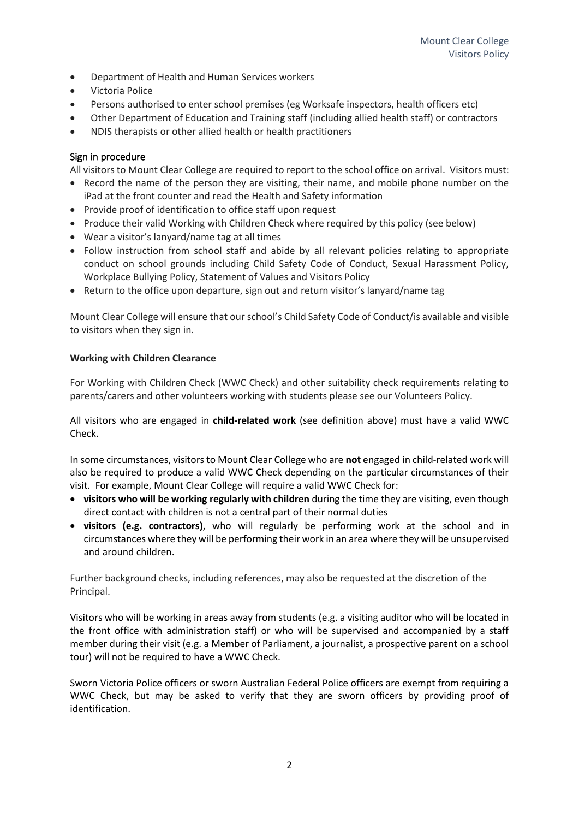- Department of Health and Human Services workers
- Victoria Police
- Persons authorised to enter school premises (eg Worksafe inspectors, health officers etc)
- Other Department of Education and Training staff (including allied health staff) or contractors
- NDIS therapists or other allied health or health practitioners

#### Sign in procedure

All visitors to Mount Clear College are required to report to the school office on arrival. Visitors must:

- Record the name of the person they are visiting, their name, and mobile phone number on the iPad at the front counter and read the Health and Safety information
- Provide proof of identification to office staff upon request
- Produce their valid Working with Children Check where required by this policy (see below)
- Wear a visitor's lanyard/name tag at all times
- Follow instruction from school staff and abide by all relevant policies relating to appropriate conduct on school grounds including Child Safety Code of Conduct, Sexual Harassment Policy, Workplace Bullying Policy, Statement of Values and Visitors Policy
- Return to the office upon departure, sign out and return visitor's lanyard/name tag

Mount Clear College will ensure that our school's Child Safety Code of Conduct/is available and visible to visitors when they sign in.

#### **Working with Children Clearance**

For Working with Children Check (WWC Check) and other suitability check requirements relating to parents/carers and other volunteers working with students please see our Volunteers Policy.

All visitors who are engaged in **child-related work** (see definition above) must have a valid WWC Check.

In some circumstances, visitors to Mount Clear College who are **not** engaged in child-related work will also be required to produce a valid WWC Check depending on the particular circumstances of their visit. For example, Mount Clear College will require a valid WWC Check for:

- **visitors who will be working regularly with children** during the time they are visiting, even though direct contact with children is not a central part of their normal duties
- **visitors (e.g. contractors)**, who will regularly be performing work at the school and in circumstances where they will be performing their work in an area where they will be unsupervised and around children.

Further background checks, including references, may also be requested at the discretion of the Principal.

Visitors who will be working in areas away from students (e.g. a visiting auditor who will be located in the front office with administration staff) or who will be supervised and accompanied by a staff member during their visit (e.g. a Member of Parliament, a journalist, a prospective parent on a school tour) will not be required to have a WWC Check.

Sworn Victoria Police officers or sworn Australian Federal Police officers are exempt from requiring a WWC Check, but may be asked to verify that they are sworn officers by providing proof of identification.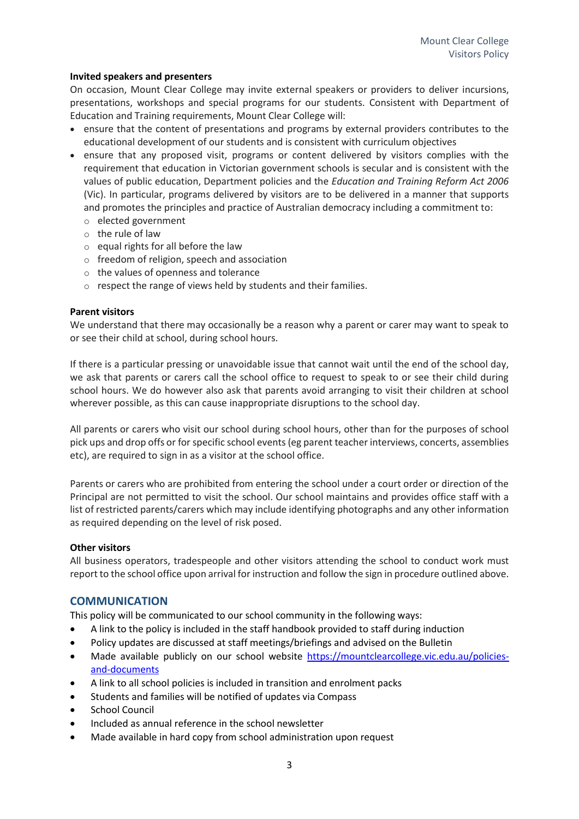#### **Invited speakers and presenters**

On occasion, Mount Clear College may invite external speakers or providers to deliver incursions, presentations, workshops and special programs for our students. Consistent with Department of Education and Training requirements, Mount Clear College will:

- ensure that the content of presentations and programs by external providers contributes to the educational development of our students and is consistent with curriculum objectives
- ensure that any proposed visit, programs or content delivered by visitors complies with the requirement that education in Victorian government schools is secular and is consistent with the values of public education, Department policies and the *Education and Training Reform Act 2006* (Vic). In particular, programs delivered by visitors are to be delivered in a manner that supports and promotes the principles and practice of Australian democracy including a commitment to:
	- o elected government
	- o the rule of law
	- $\circ$  equal rights for all before the law
	- o freedom of religion, speech and association
	- o the values of openness and tolerance
	- o respect the range of views held by students and their families.

#### **Parent visitors**

We understand that there may occasionally be a reason why a parent or carer may want to speak to or see their child at school, during school hours.

If there is a particular pressing or unavoidable issue that cannot wait until the end of the school day, we ask that parents or carers call the school office to request to speak to or see their child during school hours. We do however also ask that parents avoid arranging to visit their children at school wherever possible, as this can cause inappropriate disruptions to the school day.

All parents or carers who visit our school during school hours, other than for the purposes of school pick ups and drop offs or for specific school events (eg parent teacher interviews, concerts, assemblies etc), are required to sign in as a visitor at the school office.

Parents or carers who are prohibited from entering the school under a court order or direction of the Principal are not permitted to visit the school. Our school maintains and provides office staff with a list of restricted parents/carers which may include identifying photographs and any other information as required depending on the level of risk posed.

#### **Other visitors**

All business operators, tradespeople and other visitors attending the school to conduct work must report to the school office upon arrival for instruction and follow the sign in procedure outlined above.

#### **COMMUNICATION**

This policy will be communicated to our school community in the following ways:

- A link to the policy is included in the staff handbook provided to staff during induction
- Policy updates are discussed at staff meetings/briefings and advised on the Bulletin
- Made available publicly on our school website [https://mountclearcollege.vic.edu.au/policies](https://mountclearcollege.vic.edu.au/policies-and-documents)[and-documents](https://mountclearcollege.vic.edu.au/policies-and-documents)
- A link to all school policies is included in transition and enrolment packs
- Students and families will be notified of updates via Compass
- School Council
- Included as annual reference in the school newsletter
- Made available in hard copy from school administration upon request